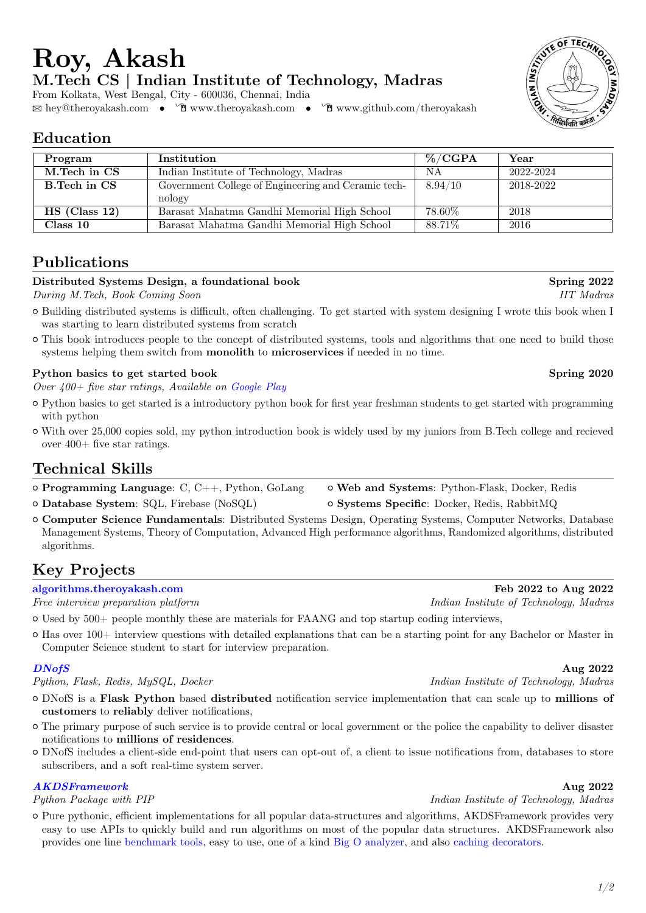# **Program Institution 1 W**/CGPA **Year**

**M.Tech CS | Indian Institute of Technology, Madras**

 $\hfill \boxtimes \text{hey@theory} akash.com \quad \bullet \quad \Tilde{\text{C}} \text{www.theory} akash.com \quad \bullet \quad \Tilde{\text{C}} \text{www.github.com/theory} akash$ 

| M.Tech in CS        | Indian Institute of Technology, Madras              | ΝA      | 2022-2024 |
|---------------------|-----------------------------------------------------|---------|-----------|
| <b>B.Tech in CS</b> | Government College of Engineering and Ceramic tech- | 8.94/10 | 2018-2022 |
|                     | nology                                              |         |           |
| $HS$ (Class 12)     | Barasat Mahatma Gandhi Memorial High School         | 78.60%  | 2018      |
| Class 10            | Barasat Mahatma Gandhi Memorial High School         | 88.71\% | 2016      |

# **Publications**

**Education**

#### **Distributed Systems Design, a foundational book Spring 2022**

From Kolkata, West Bengal, City - 600036, Chennai, India

*During M.Tech, Book Coming Soon IIT Madras*

**Roy, Akash**

- { Building distributed systems is difficult, often challenging. To get started with system designing I wrote this book when I was starting to learn distributed systems from scratch
- $\circ$  This book introduces people to the concept of distributed systems, tools and algorithms that one need to build those systems helping them switch from **monolith** to **microservices** if needed in no time.

#### Python basics to get started book **Spring 2020**

*Over 400+ five star ratings, Available on [Google Play](https://play.google.com/store/books/details/theroyakash_Python_Basics_to_get_started?id=ZaSTDwAAQBAJ)*

- { Python basics to get started is a introductory python book for first year freshman students to get started with programming with python
- { With over 25,000 copies sold, my python introduction book is widely used by my juniors from B.Tech college and recieved over  $400+$  five star ratings.

# **Technical Skills**

- { **Programming Language**: C, C++, Python, GoLang { **Web and Systems**: Python-Flask, Docker, Redis { **Database System**: SQL, Firebase (NoSQL) { **Systems Specific**: Docker, Redis, RabbitMQ
- 
- { **Computer Science Fundamentals**: Distributed Systems Design, Operating Systems, Computer Networks, Database Management Systems, Theory of Computation, Advanced High performance algorithms, Randomized algorithms, distributed algorithms.

# **Key Projects**

 $\circ$  Used by 500+ people monthly these are materials for FAANG and top startup coding interviews,

{ Has over 100+ interview questions with detailed explanations that can be a starting point for any Bachelor or Master in Computer Science student to start for interview preparation.

*Python, Flask, Redis, MySQL, Docker Indian Institute of Technology, Madras*

- { DNofS is a **Flask Python** based **distributed** notification service implementation that can scale up to **millions of customers** to **reliably** deliver notifications,
- { The primary purpose of such service is to provide central or local government or the police the capability to deliver disaster notifications to **millions of residences**.
- { DNofS includes a client-side end-point that users can opt-out of, a client to issue notifications from, databases to store subscribers, and a soft real-time system server.

## *[AKDSFramework](https://github.com/theroyakash/AKDSFramework)* **Aug 2022**

*Python Package with PIP Indian Institute of Technology, Madras* 

{ Pure pythonic, efficient implementations for all popular data-structures and algorithms, AKDSFramework provides very easy to use APIs to quickly build and run algorithms on most of the popular data structures. AKDSFramework also provides one line [benchmark tools,](https://publications.theroyakash.com/benchmark-your-python-program) easy to use, one of a kind [Big O analyzer,](https://publications.theroyakash.com/introducing-an-efficient-big-o-analyzer) and also [caching decorators.](https://publications.theroyakash.com/cache-your-code)





**[algorithms.theroyakash.com](https://algorithms.theroyakash.com) Feb 2022 to Aug 2022** *Free interview preparation platform Indian Institute of Technology, Madras*

*[DNofS](https://github.com/dnofs)* **Aug 2022**